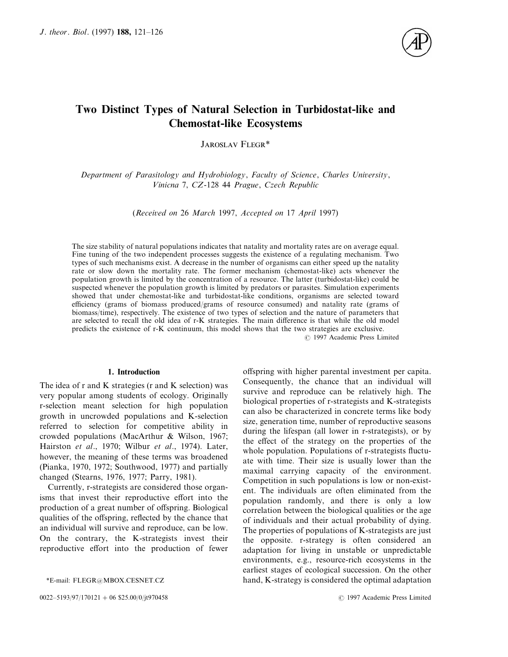

# Two Distinct Types of Natural Selection in Turbidostat-like and Chemostat-like Ecosystems

JAROSLAV FLEGR\*

*Department of Parasitology and Hydrobiology*, *Faculty of Science*, *Charles University*, *Vinicna* 7, *CZ*-128 44 *Prague*, *Czech Republic*

(*Received on* 26 *March* 1997, *Accepted on* 17 *April* 1997)

The size stability of natural populations indicates that natality and mortality rates are on average equal. Fine tuning of the two independent processes suggests the existence of a regulating mechanism. Two types of such mechanisms exist. A decrease in the number of organisms can either speed up the natality rate or slow down the mortality rate. The former mechanism (chemostat-like) acts whenever the population growth is limited by the concentration of a resource. The latter (turbidostat-like) could be suspected whenever the population growth is limited by predators or parasites. Simulation experiments showed that under chemostat-like and turbidostat-like conditions, organisms are selected toward efficiency (grams of biomass produced/grams of resource consumed) and natality rate (grams of biomass/time), respectively. The existence of two types of selection and the nature of parameters that are selected to recall the old idea of r-K strategies. The main difference is that while the old model predicts the existence of r-K continuum, this model shows that the two strategies are exclusive.

7 1997 Academic Press Limited

#### 1. Introduction

The idea of r and K strategies (r and K selection) was very popular among students of ecology. Originally r-selection meant selection for high population growth in uncrowded populations and K-selection referred to selection for competitive ability in crowded populations (MacArthur & Wilson, 1967; Hairston *et al*., 1970; Wilbur *et al*., 1974). Later, however, the meaning of these terms was broadened (Pianka, 1970, 1972; Southwood, 1977) and partially changed (Stearns, 1976, 1977; Parry, 1981).

Currently, r-strategists are considered those organisms that invest their reproductive effort into the production of a great number of offspring. Biological qualities of the offspring, reflected by the chance that an individual will survive and reproduce, can be low. On the contrary, the K-strategists invest their reproductive effort into the production of fewer

0022-5193/97/170121 + 06 \$25.00/0/jt970458 7 1997 Academic Press Limited

offspring with higher parental investment per capita. Consequently, the chance that an individual will survive and reproduce can be relatively high. The biological properties of r-strategists and K-strategists can also be characterized in concrete terms like body size, generation time, number of reproductive seasons during the lifespan (all lower in r-strategists), or by the effect of the strategy on the properties of the whole population. Populations of r-strategists fluctuate with time. Their size is usually lower than the maximal carrying capacity of the environment. Competition in such populations is low or non-existent. The individuals are often eliminated from the population randomly, and there is only a low correlation between the biological qualities or the age of individuals and their actual probability of dying. The properties of populations of K-strategists are just the opposite. r-strategy is often considered an adaptation for living in unstable or unpredictable environments, e.g., resource-rich ecosystems in the earliest stages of ecological succession. On the other \*E-mail: FLEGR.MBOX.CESNET.CZ hand, K-strategy is considered the optimal adaptation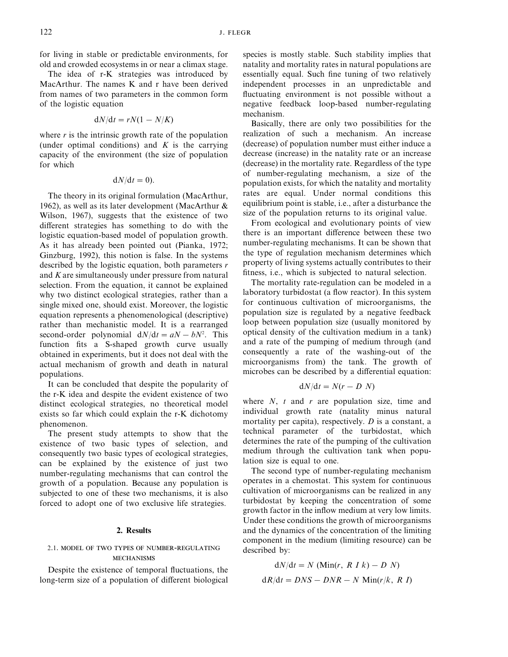for living in stable or predictable environments, for old and crowded ecosystems in or near a climax stage.

The idea of r-K strategies was introduced by MacArthur. The names K and r have been derived from names of two parameters in the common form of the logistic equation

$$
dN/dt = rN(1 - N/K)
$$

where  $r$  is the intrinsic growth rate of the population (under optimal conditions) and *K* is the carrying capacity of the environment (the size of population for which

$$
dN/dt = 0.
$$

The theory in its original formulation (MacArthur, 1962), as well as its later development (MacArthur & Wilson, 1967), suggests that the existence of two different strategies has something to do with the logistic equation-based model of population growth. As it has already been pointed out (Pianka, 1972; Ginzburg, 1992), this notion is false. In the systems described by the logistic equation, both parameters *r* and *K* are simultaneously under pressure from natural selection. From the equation, it cannot be explained why two distinct ecological strategies, rather than a single mixed one, should exist. Moreover, the logistic equation represents a phenomenological (descriptive) rather than mechanistic model. It is a rearranged second-order polynomial  $dN/dt = aN - bN^2$ . This function fits a S-shaped growth curve usually obtained in experiments, but it does not deal with the actual mechanism of growth and death in natural populations.

It can be concluded that despite the popularity of the r-K idea and despite the evident existence of two distinct ecological strategies, no theoretical model exists so far which could explain the r-K dichotomy phenomenon.

The present study attempts to show that the existence of two basic types of selection, and consequently two basic types of ecological strategies, can be explained by the existence of just two number-regulating mechanisms that can control the growth of a population. Because any population is subjected to one of these two mechanisms, it is also forced to adopt one of two exclusive life strategies.

### 2. Results

## 2.1. MODEL OF TWO TYPES OF NUMBER-REGULATING **MECHANISMS**

Despite the existence of temporal fluctuations, the long-term size of a population of different biological species is mostly stable. Such stability implies that natality and mortality rates in natural populations are essentially equal. Such fine tuning of two relatively independent processes in an unpredictable and fluctuating environment is not possible without a negative feedback loop-based number-regulating mechanism.

Basically, there are only two possibilities for the realization of such a mechanism. An increase (decrease) of population number must either induce a decrease (increase) in the natality rate or an increase (decrease) in the mortality rate. Regardless of the type of number-regulating mechanism, a size of the population exists, for which the natality and mortality rates are equal. Under normal conditions this equilibrium point is stable, i.e., after a disturbance the size of the population returns to its original value.

From ecological and evolutionary points of view there is an important difference between these two number-regulating mechanisms. It can be shown that the type of regulation mechanism determines which property of living systems actually contributes to their fitness, i.e., which is subjected to natural selection.

The mortality rate-regulation can be modeled in a laboratory turbidostat (a flow reactor). In this system for continuous cultivation of microorganisms, the population size is regulated by a negative feedback loop between population size (usually monitored by optical density of the cultivation medium in a tank) and a rate of the pumping of medium through (and consequently a rate of the washing-out of the microorganisms from) the tank. The growth of microbes can be described by a differential equation:

$$
dN/dt = N(r - D N)
$$

where *N*, *t* and *r* are population size, time and individual growth rate (natality minus natural mortality per capita), respectively. *D* is a constant, a technical parameter of the turbidostat, which determines the rate of the pumping of the cultivation medium through the cultivation tank when population size is equal to one.

The second type of number-regulating mechanism operates in a chemostat. This system for continuous cultivation of microorganisms can be realized in any turbidostat by keeping the concentration of some growth factor in the inflow medium at very low limits. Under these conditions the growth of microorganisms and the dynamics of the concentration of the limiting component in the medium (limiting resource) can be described by:

$$
dN/dt = N \left( \text{Min}(r, R \mid R) - D \mid N \right)
$$

$$
dR/dt = DNS - DNR - N \text{Min}(r/k, R \mid I)
$$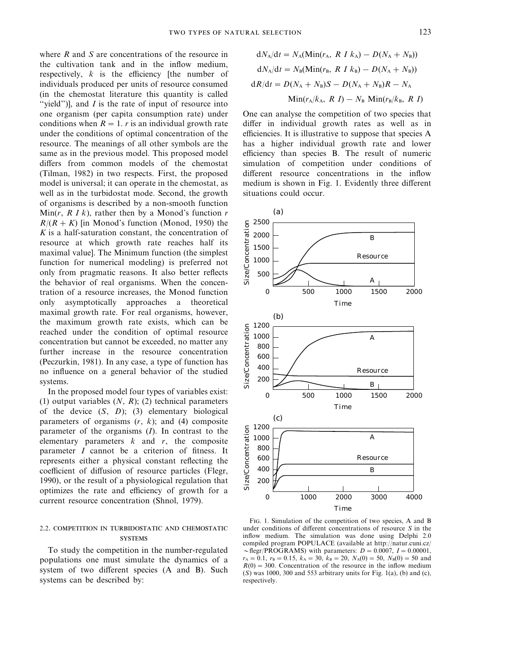where *R* and *S* are concentrations of the resource in the cultivation tank and in the inflow medium, respectively, *k* is the efficiency [the number of individuals produced per units of resource consumed (in the chemostat literature this quantity is called "yield")], and *I* is the rate of input of resource into one organism (per capita consumption rate) under conditions when  $R = 1$ . *r* is an individual growth rate under the conditions of optimal concentration of the resource. The meanings of all other symbols are the same as in the previous model. This proposed model differs from common models of the chemostat (Tilman, 1982) in two respects. First, the proposed model is universal; it can operate in the chemostat, as well as in the turbidostat mode. Second, the growth of organisms is described by a non-smooth function  $Min(r, R, I, k)$ , rather then by a Monod's function *r*  $R/(R + K)$  [in Monod's function (Monod, 1950) the *K* is a half-saturation constant, the concentration of resource at which growth rate reaches half its maximal value]. The Minimum function (the simplest function for numerical modeling) is preferred not only from pragmatic reasons. It also better reflects the behavior of real organisms. When the concentration of a resource increases, the Monod function only asymptotically approaches a theoretical maximal growth rate. For real organisms, however, the maximum growth rate exists, which can be reached under the condition of optimal resource concentration but cannot be exceeded, no matter any further increase in the resource concentration (Peczurkin, 1981). In any case, a type of function has no influence on a general behavior of the studied systems.

In the proposed model four types of variables exist: (1) output variables (*N*, *R*); (2) technical parameters of the device (*S*, *D*); (3) elementary biological parameters of organisms  $(r, k)$ ; and  $(4)$  composite parameter of the organisms (*I*). In contrast to the elementary parameters *k* and *r*, the composite parameter *I* cannot be a criterion of fitness. It represents either a physical constant reflecting the coefficient of diffusion of resource particles (Flegr, 1990), or the result of a physiological regulation that optimizes the rate and efficiency of growth for a current resource concentration (Shnol, 1979).

# 2.2. COMPETITION IN TURBIDOSTATIC AND CHEMOSTATIC **SYSTEMS**

To study the competition in the number-regulated populations one must simulate the dynamics of a system of two different species (A and B). Such systems can be described by:

$$
dN_A/dt = N_A(\text{Min}(r_A, R I k_A) - D(N_A + N_B))
$$
  
\n
$$
dN_A/dt = N_B(\text{Min}(r_B, R I k_B) - D(N_A + N_B))
$$
  
\n
$$
dR/dt = D(N_A + N_B)S - D(N_A + N_B)R - N_A
$$
  
\n
$$
\text{Min}(r_A/k_A, R I) - N_B \text{Min}(r_B/k_B, R I)
$$

One can analyse the competition of two species that differ in individual growth rates as well as in efficiencies. It is illustrative to suppose that species A has a higher individual growth rate and lower efficiency than species B. The result of numeric simulation of competition under conditions of different resource concentrations in the inflow medium is shown in Fig. 1. Evidently three different situations could occur.



FIG. 1. Simulation of the competition of two species, A and B under conditions of different concentrations of resource *S* in the inflow medium. The simulation was done using Delphi 2.0 compiled program POPULACE (available at http://natur.cuni.cz/  $\sim$ flegr/PROGRAMS) with parameters: *D* = 0.0007, *I* = 0.00001,  $r_A = 0.1$ ,  $r_B = 0.15$ ,  $k_A = 30$ ,  $k_B = 20$ ,  $N_A(0) = 50$ ,  $N_B(0) = 50$  and  $R(0) = 300$ . Concentration of the resource in the inflow medium (*S*) was 1000, 300 and 553 arbitrary units for Fig. 1(a), (b) and (c), respectively.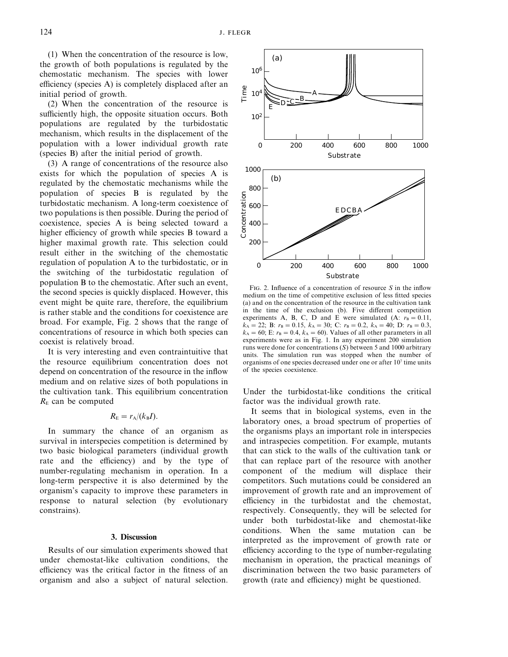(1) When the concentration of the resource is low, the growth of both populations is regulated by the chemostatic mechanism. The species with lower efficiency (species A) is completely displaced after an initial period of growth.

(2) When the concentration of the resource is sufficiently high, the opposite situation occurs. Both populations are regulated by the turbidostatic mechanism, which results in the displacement of the population with a lower individual growth rate (species B) after the initial period of growth.

(3) A range of concentrations of the resource also exists for which the population of species A is regulated by the chemostatic mechanisms while the population of species B is regulated by the turbidostatic mechanism. A long-term coexistence of two populations is then possible. During the period of coexistence, species A is being selected toward a higher efficiency of growth while species B toward a higher maximal growth rate. This selection could result either in the switching of the chemostatic regulation of population A to the turbidostatic, or in the switching of the turbidostatic regulation of population B to the chemostatic. After such an event, the second species is quickly displaced. However, this event might be quite rare, therefore, the equilibrium is rather stable and the conditions for coexistence are broad. For example, Fig. 2 shows that the range of concentrations of resource in which both species can coexist is relatively broad.

It is very interesting and even contraintuitive that the resource equilibrium concentration does not depend on concentration of the resource in the inflow medium and on relative sizes of both populations in the cultivation tank. This equilibrium concentration  $R<sub>E</sub>$  can be computed

# $R_{\rm E}=r_{\rm A}/(k_{\rm B}I).$

In summary the chance of an organism as survival in interspecies competition is determined by two basic biological parameters (individual growth rate and the efficiency) and by the type of number-regulating mechanism in operation. In a long-term perspective it is also determined by the organism's capacity to improve these parameters in response to natural selection (by evolutionary constrains).

### 3. Discussion

Results of our simulation experiments showed that under chemostat-like cultivation conditions, the efficiency was the critical factor in the fitness of an organism and also a subject of natural selection.



FIG. 2. Influence of a concentration of resource *S* in the inflow medium on the time of competitive exclusion of less fitted species (a) and on the concentration of the resource in the cultivation tank in the time of the exclusion (b). Five different competition experiments A, B, C, D and E were simulated (A:  $r_B = 0.11$ ,  $k_A = 22$ ; **B**:  $r_B = 0.15$ ,  $k_A = 30$ ; C:  $r_B = 0.2$ ,  $k_A = 40$ ; D:  $r_B = 0.3$ ,  $k_A = 60$ ; E:  $r_B = 0.4$ ,  $k_A = 60$ ). Values of all other parameters in all experiments were as in Fig. 1. In any experiment 200 simulation runs were done for concentrations (*S*) between 5 and 1000 arbitrary units. The simulation run was stopped when the number of organisms of one species decreased under one or after 107 time units of the species coexistence.

Under the turbidostat-like conditions the critical factor was the individual growth rate.

It seems that in biological systems, even in the laboratory ones, a broad spectrum of properties of the organisms plays an important role in interspecies and intraspecies competition. For example, mutants that can stick to the walls of the cultivation tank or that can replace part of the resource with another component of the medium will displace their competitors. Such mutations could be considered an improvement of growth rate and an improvement of efficiency in the turbidostat and the chemostat, respectively. Consequently, they will be selected for under both turbidostat-like and chemostat-like conditions. When the same mutation can be interpreted as the improvement of growth rate or efficiency according to the type of number-regulating mechanism in operation, the practical meanings of discrimination between the two basic parameters of growth (rate and efficiency) might be questioned.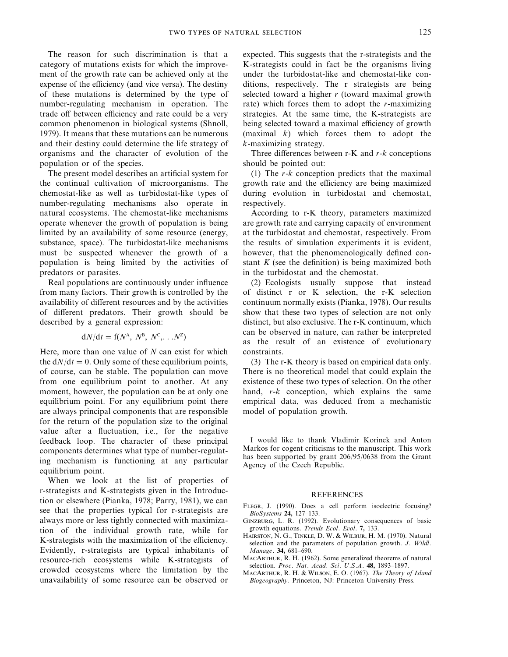The reason for such discrimination is that a category of mutations exists for which the improvement of the growth rate can be achieved only at the expense of the efficiency (and vice versa). The destiny of these mutations is determined by the type of number-regulating mechanism in operation. The trade off between efficiency and rate could be a very common phenomenon in biological systems (Shnoll, 1979). It means that these mutations can be numerous and their destiny could determine the life strategy of organisms and the character of evolution of the population or of the species.

The present model describes an artificial system for the continual cultivation of microorganisms. The chemostat-like as well as turbidostat-like types of number-regulating mechanisms also operate in natural ecosystems. The chemostat-like mechanisms operate whenever the growth of population is being limited by an availability of some resource (energy, substance, space). The turbidostat-like mechanisms must be suspected whenever the growth of a population is being limited by the activities of predators or parasites.

Real populations are continuously under influence from many factors. Their growth is controlled by the availability of different resources and by the activities of different predators. Their growth should be described by a general expression:

$$
dN/dt = f(N^A, N^B, N^C, \ldots N^Z)
$$

Here, more than one value of *N* can exist for which the  $dN/dt=0$ . Only some of these equilibrium points, of course, can be stable. The population can move from one equilibrium point to another. At any moment, however, the population can be at only one equilibrium point. For any equilibrium point there are always principal components that are responsible for the return of the population size to the original value after a fluctuation, i.e., for the negative feedback loop. The character of these principal components determines what type of number-regulating mechanism is functioning at any particular equilibrium point.

When we look at the list of properties of r-strategists and K-strategists given in the Introduction or elsewhere (Pianka, 1978; Parry, 1981), we can see that the properties typical for r-strategists are always more or less tightly connected with maximization of the individual growth rate, while for K-strategists with the maximization of the efficiency. Evidently, r-strategists are typical inhabitants of resource-rich ecosystems while K-strategists of crowded ecosystems where the limitation by the unavailability of some resource can be observed or expected. This suggests that the r-strategists and the K-strategists could in fact be the organisms living under the turbidostat-like and chemostat-like conditions, respectively. The r strategists are being selected toward a higher *r* (toward maximal growth rate) which forces them to adopt the *r*-maximizing strategies. At the same time, the K-strategists are being selected toward a maximal efficiency of growth (maximal *k*) which forces them to adopt the *k*-maximizing strategy.

Three differences between r-K and *r*-*k* conceptions should be pointed out:

(1) The *r*-*k* conception predicts that the maximal growth rate and the efficiency are being maximized during evolution in turbidostat and chemostat, respectively.

According to r-K theory, parameters maximized are growth rate and carrying capacity of environment at the turbidostat and chemostat, respectively. From the results of simulation experiments it is evident, however, that the phenomenologically defined constant *K* (see the definition) is being maximized both in the turbidostat and the chemostat.

(2) Ecologists usually suppose that instead of distinct r or K selection, the r-K selection continuum normally exists (Pianka, 1978). Our results show that these two types of selection are not only distinct, but also exclusive. The r-K continuum, which can be observed in nature, can rather be interpreted as the result of an existence of evolutionary constraints.

(3) The r-K theory is based on empirical data only. There is no theoretical model that could explain the existence of these two types of selection. On the other hand, *r*-*k* conception, which explains the same empirical data, was deduced from a mechanistic model of population growth.

I would like to thank Vladimir Korinek and Anton Markos for cogent criticisms to the manuscript. This work has been supported by grant 206/95/0638 from the Grant Agency of the Czech Republic.

#### REFERENCES

- FLEGR, J. (1990). Does a cell perform isoelectric focusing? *BioSystems* 24, 127–133.
- GINZBURG, L. R. (1992). Evolutionary consequences of basic growth equations. *Trends Ecol*. *Evol*. 7, 133.
- HAIRSTON, N. G., TINKLE, D. W. & WILBUR, H. M. (1970). Natural selection and the parameters of population growth. *J*. *Wildl*. *Manage*. 34, 681–690.
- MACARTHUR, R. H. (1962). Some generalized theorems of natural selection. *Proc*. *Nat*. *Acad*. *Sci*. *U*.*S*.*A*. 48, 1893–1897.
- MACARTHUR, R. H. & WILSON, E. O. (1967). *The Theory of Island Biogeography*. Princeton, NJ: Princeton University Press.